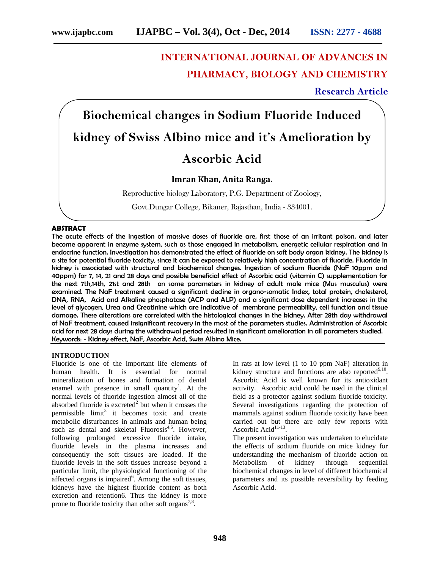## **INTERNATIONAL JOURNAL OF ADVANCES IN PHARMACY, BIOLOGY AND CHEMISTRY**

**Research Article**

# **Biochemical changes in Sodium Fluoride Induced kidney of Swiss Albino mice and it's Amelioration by Ascorbic Acid**

## **Imran Khan, Anita Ranga.**

Reproductive biology Laboratory, P.G. Department of Zoology,

Govt.Dungar College, Bikaner, Rajasthan, India - 334001.

## **ABSTRACT**

The acute effects of the ingestion of massive doses of fluoride are, first those of an irritant poison, and later become apparent in enzyme system, such as those engaged in metabolism, energetic cellular respiration and in endocrine function. Investigation has demonstrated the effect of fluoride on soft body organ kidney. The kidney is a site for potential fluoride toxicity, since it can be exposed to relatively high concentration of fluoride. Fluoride in kidney is associated with structural and biochemical changes. Ingestion of sodium fluoride (NaF 10ppm and 40ppm) for 7, 14, 21 and 28 days and possible beneficial effect of Ascorbic acid (vitamin C) supplementation for the next 7th,14th, 21st and 28th on some parameters in kidney of adult male mice (Mus musculus) were examined. The NaF treatment caused a significant decline in organo-somatic Index, total protein, cholesterol, DNA, RNA, Acid and Alkaline phosphatase (ACP and ALP) and a significant dose dependent increases in the level of glycogen, Urea and Creatinine which are indicative of membrane permeability, cell function and tissue damage. These alterations are correlated with the histological changes in the kidney. After 28th day withdrawal of NaF treatment, caused insignificant recovery in the most of the parameters studies. Administration of Ascorbic acid for next 28 days during the withdrawal period resulted in significant amelioration in all parameters studied. Keywords: - Kidney effect, NaF, Ascorbic Acid, Swiss Albino Mice.

#### **INTRODUCTION**

Fluoride is one of the important life elements of human health. It is essential for normal mineralization of bones and formation of dental enamel with presence in small quantity<sup>1</sup>. At the normal levels of fluoride ingestion almost all of the absorbed fluoride is excreted<sup>2</sup> but when it crosses the permissible limit<sup>3</sup> it becomes toxic and create metabolic disturbances in animals and human being such as dental and skeletal Fluorosis<sup>4,5</sup>. However, following prolonged excessive fluoride intake, fluoride levels in the plasma increases and consequently the soft tissues are loaded. If the fluoride levels in the soft tissues increase beyond a particular limit, the physiological functioning of the affected organs is impaired $<sup>6</sup>$ . Among the soft tissues,</sup> kidneys have the highest fluoride content as both excretion and retention6. Thus the kidney is more prone to fluoride toxicity than other soft organs<sup>7,8</sup>.

In rats at low level (1 to 10 ppm NaF) alteration in kidney structure and functions are also reported $9,10$ . Ascorbic Acid is well known for its antioxidant activity. Ascorbic acid could be used in the clinical field as a protector against sodium fluoride toxicity. Several investigations regarding the protection of mammals against sodium fluoride toxicity have been carried out but there are only few reports with Ascorbic Acid<sup>11-13</sup>.

The present investigation was undertaken to elucidate the effects of sodium fluoride on mice kidney for understanding the mechanism of fluoride action on Metabolism of kidney through sequential biochemical changes in level of different biochemical parameters and its possible reversibility by feeding Ascorbic Acid.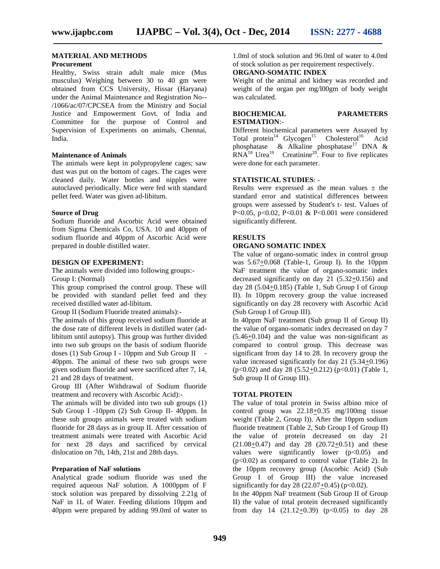## **MATERIAL AND METHODS**

#### **Procurement**

Healthy, Swiss strain adult male mice (Mus musculus) Weighing between 30 to 40 gm were obtained from CCS University, Hissar (Haryana) under the Animal Maintenance and Registration No-- /1066/ac/07/CPCSEA from the Ministry and Social Justice and Empowerment Govt. of India and Committee for the purpose of Control and Supervision of Experiments on animals, Chennai, India.

#### **Maintenance of Animals**

The animals were kept in polypropylene cages; saw dust was put on the bottom of cages. The cages were cleaned daily. Water bottles and nipples were autoclaved periodically. Mice were fed with standard pellet feed. Water was given ad-libitum.

#### **Source of Drug**

Sodium fluoride and Ascorbic Acid were obtained from Sigma Chemicals Co, USA. 10 and 40ppm of sodium fluoride and 40ppm of Ascorbic Acid were prepared in double distilled water.

#### **DESIGN OF EXPERIMENT:**

The animals were divided into following groups:- Group I: (Normal)

This group comprised the control group. These will be provided with standard pellet feed and they received distilled water ad-libitum.

Group II (Sodium Fluoride treated animals):-

The animals of this group received sodium fluoride at the dose rate of different levels in distilled water (adlibitum until autopsy). This group was further divided into two sub groups on the basis of sodium fluoride doses (1) Sub Group I - 10ppm and Sub Group II - 40ppm. The animal of these two sub groups were given sodium fluoride and were sacrificed after 7, 14, 21 and 28 days of treatment.

Group III (After Withdrawal of Sodium fluoride treatment and recovery with Ascorbic Acid):-

The animals will be divided into two sub groups (1) Sub Group I -10ppm (2) Sub Group II- 40ppm. In these sub groups animals were treated with sodium fluoride for 28 days as in group II. After cessation of treatment animals were treated with Ascorbic Acid for next 28 days and sacrificed by cervical dislocation on 7th, 14th, 21st and 28th days.

## **Preparation of NaF solutions**

Analytical grade sodium fluoride was used the required aqueous NaF solution. A 1000ppm of F stock solution was prepared by dissolving 2.21g of NaF in 1L of Water. Feeding dilutions 10ppm and 40ppm were prepared by adding 99.0ml of water to 1.0ml of stock solution and 96.0ml of water to 4.0ml of stock solution as per requirement respectively.

## **ORGANO-SOMATIC INDEX**

Weight of the animal and kidney was recorded and weight of the organ per mg/l00gm of body weight was calculated.

## **BIOCHEMICAL PARAMETERS ESTIMATION**:-

Different biochemical parameters were Assayed by Total protein<sup>14</sup> Glycogen<sup>15</sup> Cholesterol<sup>16</sup> Acid phosphatase & Alkaline phosphatase<sup>17</sup> DNA &  $\text{RNA}^{18}$  Urea<sup>19</sup> Creatinine<sup>20</sup>. Four to five replicates were done for each parameter.

## **STATISTICAL STUDIES**: -

Results were expressed as the mean values  $\pm$  the standard error and statistical differences between groups were assessed by Student's t- test. Values of P<0.05, p<0.02, P<0.01 & P<0.001 were considered significantly different.

## **RESULTS**

#### **ORGANO SOMATIC INDEX**

The value of organo-somatic index in control group was 5.67+0.068 (Table-1, Group I). In the 10ppm NaF treatment the value of organo-somatic index decreased significantly on day 21 (5.32+0.156) and day 28  $(5.04 \pm 0.185)$  (Table 1, Sub Group I of Group II). In 10ppm recovery group the value increased significantly on day 28 recovery with Ascorbic Acid (Sub Group I of Group III).

In 40ppm NaF treatment (Sub group II of Group II) the value of organo-somatic index decreased on day 7 (5.46+0.104) and the value was non-significant as compared to control group. This decrease was significant from day 14 to 28. In recovery group the value increased significantly for day 21 (5.34+0.196)  $(p<0.02)$  and day 28 (5.52+0.212) ( $p<0.01$ ) (Table 1, Sub group II of Group III).

## **TOTAL PROTEIN**

The value of total protein in Swiss albino mice of control group was  $22.18 \pm 0.35$  mg/100mg tissue weight (Table 2, Group I)). After the 10ppm sodium fluoride treatment (Table 2, Sub Group I of Group II) the value of protein decreased on day 21 (21.08+0.47) and day 28 (20.72+0.51) and these values were significantly lower  $(p<0.05)$  and  $(p<0.02)$  as compared to control value (Table 2). In the 10ppm recovery group (Ascorbic Acid) (Sub Group I of Group III) the value increased significantly for day  $28 (22.07+0.45)$  (p<0.02). In the 40ppm NaF treatment (Sub Group II of Group

II) the value of total protein decreased significantly from day 14  $(21.12+0.39)$   $(p<0.05)$  to day 28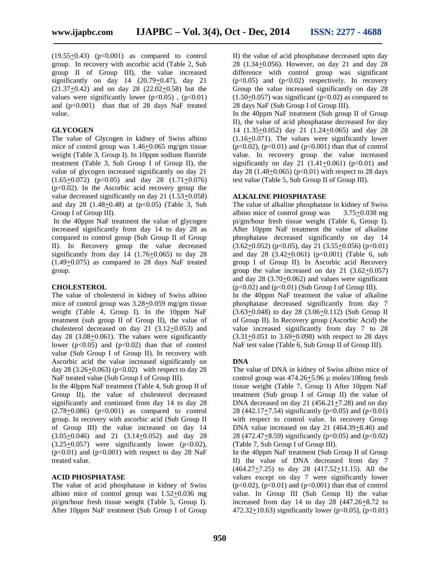$(19.55+0.43)$   $(p<0.001)$  as compared to control group. In recovery with ascorbic acid (Table 2, Sub group II of Group III), the value increased significantly on day  $14$   $(20.79+0.47)$ , day  $21$ (21.37+0.42) and on day 28 (22.02+0.58) but the values were significantly lower ( $p<0.05$ ), ( $p<0.01$ ) and (p<0.001) than that of 28 days NaF treated value.

#### **GLYCOGEN**

The value of Glycogen in kidney of Swiss albino mice of control group was  $1.46 \pm 0.065$  mg/gm tissue weight (Table 3, Group I). In 10ppm sodium fluoride treatment (Table 3, Sub Group I of Group II), the value of glycogen increased significantly on day 21  $(1.65+0.072)$   $(p<0.05)$  and day 28  $(1.71+0.076)$  $(p<0.02)$ . In the Ascorbic acid recovery group the value decreased significantly on day 21 (1.53+0.058) and day 28  $(1.48+0.48)$  at  $(p<0.05)$  (Table 3, Sub Group I of Group III).

In the 40ppm NaF treatment the value of glycogen increased significantly from day 14 to day 28 as compared to control group (Sub Group II of Group II). In Recovery group the value decreased significantly from day  $14$   $(1.76+0.065)$  to day 28 (1.49+0.075) as compared to 28 days NaF treated group.

## **CHOLESTEROL**

The value of cholesterol in kidney of Swiss albino mice of control group was 3.28+0.059 mg/gm tissue weight (Table 4, Group I). In the 10ppm NaF treatment (sub group II of Group II), the value of cholesterol decreased on day 21 (3.12+0.053) and day 28 (3.08+0.061). The values were significantly lower ( $p<0.05$ ) and ( $p<0.02$ ) than that of control value (Sub Group I of Group II). In recovery with Ascorbic acid the value increased significantly on day 28 (3.26+0.063) ( $p<0.02$ ) with respect to day 28 NaF treated value (Sub Group I of Group III).

In the 40ppm NaF treatment (Table 4, Sub group II of Group II), the value of cholesterol decreased significantly and continued from day 14 to day 28  $(2.78 + 0.086)$  (p<0.001) as compared to control group. In recovery with ascorbic acid (Sub Group II of Group III) the value increased on day 14 (3.05+0.046) and 21 (3.14+0.052) and day 28  $(3.25\pm0.057)$  were significantly lower (p<0.02),  $(p<0.01)$  and  $(p<0.001)$  with respect to day 28 NaF treated value.

#### **ACID PHOSPHATASE**

The value of acid phosphatase in kidney of Swiss albino mice of control group was  $1.52 \pm 0.036$  mg pi/gm/hour fresh tissue weight (Table 5, Group I). After 10ppm NaF treatment (Sub Group I of Group II) the value of acid phosphatase decreased upto day 28 (1.34+0.056). However, on day 21 and day 28 difference with control group was significant  $(p<0.05)$  and  $(p<0.02)$  respectively. In recovery Group the value increased significantly on day 28  $(1.50+0.057)$  was significant (p<0.02) as compared to 28 days NaF (Sub Group I of Group III).

In the 40ppm NaF treatment (Sub group II of Group II), the value of acid phosphatase decreased for day 14 (1.35 $\pm$ 0.052) day 21 (1.24 $\pm$ 0.065) and day 28 (1.16+0.071). The values were significantly lower  $(p<0.02)$ ,  $(p<0.01)$  and  $(p<0.001)$  than that of control value. In recovery group the value increased significantly on day 21  $(1.41+0.061)$  (p<0.01) and day 28 (1.48+0.065) ( $p<0.01$ ) with respect to 28 days test value (Table 5, Sub Group II of Group III).

## **ALKALINE PHOSPHATASE**

The value of alkaline phosphatase in kidney of Swiss albino mice of control group was 3.75+0.038 mg pi/gm/hour fresh tissue weight (Table 6, Group I). After 10ppm NaF treatment the value of alkaline phosphatase decreased significantly on day 14  $(3.62+0.052)$  (p<0.05), day 21 (3.55+0.056) (p<0.01) and day 28  $(3.42+0.061)$   $(p<0.001)$  (Table 6, sub group I of Group II). In Ascorbic acid Recovery group the value increased on day  $21$   $(3.62+0.057)$ and day  $28(3.70+0.062)$  and values were significant  $(p<0.02)$  and  $(p<0.01)$  (Sub Group I of Group III). In the 40ppm NaF treatment the value of alkaline phosphatase decreased significantly from day 7 (3.63+0.048) to day 28 (3.06+0.112) (Sub Group II of Group II). In Recovery group (Ascorbic Acid) the value increased significantly from day 7 to 28  $(3.31+0.051)$  to  $3.69+0.098$ ) with respect to 28 days NaF test value (Table 6, Sub Group II of Group III).

#### **DNA**

The value of DNA in kidney of Swiss albino mice of control group was  $474.26 + 5.96 \mu$  moles/100mg fresh tissue weight (Table 7, Group I) After 10ppm NaF treatment (Sub group I of Group II) the value of DNA decreased on day 21  $(456.21 + 7.28)$  and on day 28 (442.17 $\pm$ 7.54) significantly (p<0.05) and (p<0.01) with respect to control value. In recovery Group DNA value increased on day 21 (464.39+8.46) and 28 (472.47+8.59) significantly ( $p < 0.05$ ) and ( $p < 0.02$ ) (Table 7, Sub Group I of Group III).

In the 40ppm NaF treatment (Sub Group II of Group II) the value of DNA decreased from day 7 (464.27+7.25) to day 28 (417.52+11.15). All the values except on day 7 were significantly lower  $(p<0.02)$ ,  $(p<0.01)$  and  $(p<0.001)$  than that of control value. In Group III (Sub Group II) the value increased from day 14 to day  $28 \left(447.26 + 8.72 \right)$  to 472.32+10.63) significantly lower ( $p<0.05$ ), ( $p<0.01$ )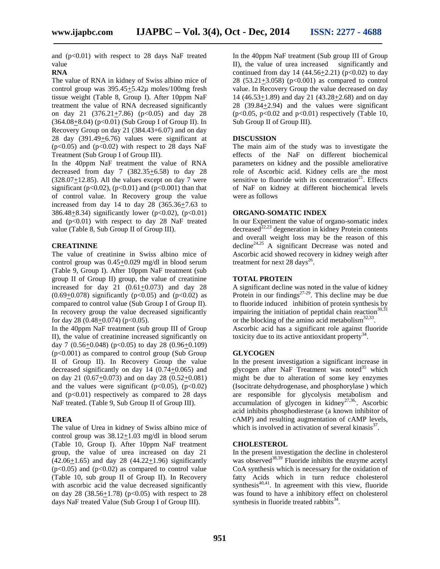and  $(p<0.01)$  with respect to 28 days NaF treated value

## **RNA**

The value of RNA in kidney of Swiss albino mice of control group was 395.45+5.42µ moles/100mg fresh tissue weight (Table 8, Group I). After 10ppm NaF treatment the value of RNA decreased significantly on day 21  $(376.21+7.86)$   $(p<0.05)$  and day 28  $(364.08 + 8.04)$  (p<0.01) (Sub Group I of Group II). In Recovery Group on day 21 (384.43+6.07) and on day 28 day (391.49+6.76) values were significant at  $(p<0.05)$  and  $(p<0.02)$  with respect to 28 days NaF Treatment (Sub Group I of Group III).

In the 40ppm NaF treatment the value of RNA decreased from day 7  $(382.35 \pm 6.58)$  to day 28  $(328.07+12.85)$ . All the values except on day 7 were significant (p<0.02), (p<0.01) and (p<0.001) than that of control value. In Recovery group the value increased from day 14 to day 28 (365.36+7.63 to 386.48+8.34) significantly lower ( $p < 0.02$ ), ( $p < 0.01$ ) and  $(p<0.01)$  with respect to day 28 NaF treated value (Table 8, Sub Group II of Group III).

## **CREATININE**

The value of creatinine in Swiss albino mice of control group was 0.45+0.029 mg/dl in blood serum (Table 9, Group I). After 10ppm NaF treatment (sub group II of Group II) group, the value of creatinine increased for day 21  $(0.61 \pm 0.073)$  and day 28  $(0.69+0.078)$  significantly (p<0.05) and (p<0.02) as compared to control value (Sub Group I of Group II). In recovery group the value decreased significantly for day  $28$  (0.48+0.074) (p<0.05).

In the 40ppm NaF treatment (sub group III of Group II), the value of creatinine increased significantly on day 7  $(0.56+0.048)$  (p<0.05) to day 28  $(0.96+0.109)$  $(p<0.001)$  as compared to control group (Sub Group) II of Group II). In Recovery Group the value decreased significantly on day 14 (0.74+0.065) and on day 21 (0.67+0.073) and on day 28 (0.52+0.081) and the values were significant ( $p<0.05$ ), ( $p<0.02$ ) and  $(p<0.01)$  respectively as compared to 28 days NaF treated. (Table 9, Sub Group II of Group III).

## **UREA**

The value of Urea in kidney of Swiss albino mice of control group was 38.12+1.03 mg/dl in blood serum (Table 10, Group I). After 10ppm NaF treatment group, the value of urea increased on day 21 (42.06+1.65) and day 28 (44.22+1.96) significantly  $(p<0.05)$  and  $(p<0.02)$  as compared to control value (Table 10, sub group II of Group II). In Recovery with ascorbic acid the value decreased significantly on day 28 (38.56+1.78) ( $p<0.05$ ) with respect to 28 days NaF treated Value (Sub Group I of Group III).

In the 40ppm NaF treatment (Sub group III of Group II), the value of urea increased significantly and continued from day 14  $(44.56 + 2.21)$  (p<0.02) to day 28 (53.21+3.058) ( $p < 0.001$ ) as compared to control value. In Recovery Group the value decreased on day 14 (46.53+1.89) and day 21 (43.28+2.68) and on day 28 (39.84+2.94) and the values were significant  $(p<0.05, p<0.02$  and  $p<0.01$ ) respectively (Table 10, Sub Group II of Group III).

## **DISCUSSION**

The main aim of the study was to investigate the effects of the NaF on different biochemical parameters on kidney and the possible ameliorative role of Ascorbic acid. Kidney cells are the most sensitive to fluoride with its concentration $2^1$ . Effects of NaF on kidney at different biochemical levels were as follows

## **ORGANO-SOMATIC INDEX**

In our Experiment the value of organo-somatic index decreased $^{22,23}$  degeneration in kidney Protein contents and overall weight loss may be the reason of this  $\text{decline}^{24,25}$  A significant Decrease was noted and Ascorbic acid showed recovery in kidney weigh after treatment for next 28 days<sup>26</sup>.

## **TOTAL PROTEIN**

A significant decline was noted in the value of kidney Protein in our findings $27-29$ . This decline may be due to fluoride induced inhibition of protein synthesis by impairing the initiation of peptidal chain reaction<sup>30,31</sup> or the blocking of the amino acid metabolism $^{32,33}$ . Ascorbic acid has a significant role against fluoride toxicity due to its active antioxidant property $^{34}$ .

## **GLYCOGEN**

In the present investigation a significant increase in glycogen after NaF Treatment was noted $35$  which might be due to alteration of some key enzymes (Isocitrate dehydrogenase, and phosphorylase ) which are responsible for glycolysis metabolism and accumulation of glycogen in kidney<sup>27,36</sup>. Ascorbic acid inhibits phosphodiesterase (a known inhibitor of cAMP) and resulting augmentation of cAMP levels, which is involved in activation of several kinasis $3^7$ .

#### **CHOLESTEROL**

In the present investigation the decline in cholesterol was observed<sup>38,39</sup> Fluoride inhibits the enzyme acetyl CoA synthesis which is necessary for the oxidation of fatty Acids which in turn reduce cholesterol synthesis $40,41$ . In agreement with this view, fluoride was found to have a inhibitory effect on cholesterol synthesis in fluoride treated rabbits<sup>34</sup>.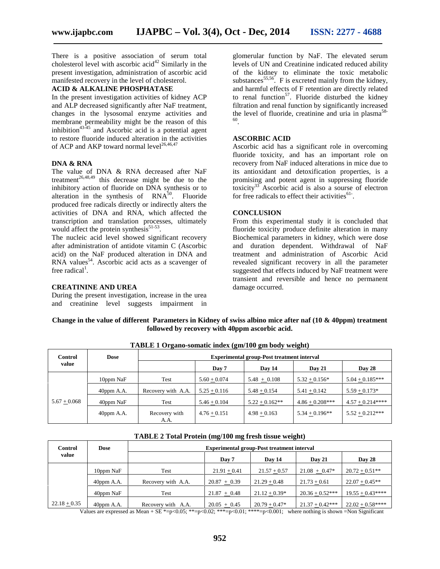There is a positive association of serum total cholesterol level with ascorbic acid<sup>42</sup> Similarly in the present investigation, administration of ascorbic acid manifested recovery in the level of cholesterol.

#### **ACID & ALKALINE PHOSPHATASE**

In the present investigation activities of kidney ACP and ALP decreased significantly after NaF treatment, changes in the lysosomal enzyme activities and membrane permeability might be the reason of this inhibition<sup>43-45</sup> and Ascorbic acid is a potential agent to restore fluoride induced alteration in the activities of ACP and AKP toward normal level<sup>26,46,47</sup>

#### **DNA & RNA**

The value of DNA & RNA decreased after NaF treatment<sup>26,48,49</sup> this decrease might be due to the inhibitory action of fluoride on DNA synthesis or to alteration in the synthesis of  $RNA<sup>50</sup>$ . Fluoride produced free radicals directly or indirectly alters the activities of DNA and RNA, which affected the transcription and translation processes, ultimately would affect the protein synthesis $51-53$ . .

The nucleic acid level showed significant recovery after administration of antidote vitamin C (Ascorbic acid) on the NaF produced alteration in DNA and  $RNA$  values<sup>54</sup>. Ascorbic acid acts as a scavenger of free radical<sup>1</sup>.

## **CREATININE AND UREA**

During the present investigation, increase in the urea and creatinine level suggests impairment in

glomerular function by NaF. The elevated serum levels of UN and Creatinine indicated reduced ability of the kidney to eliminate the toxic metabolic substances<sup>55,56</sup>. F is excreted mainly from the kidney, and harmful effects of F retention are directly related to renal function<sup>57</sup>. Fluoride disturbed the kidney filtration and renal function by significantly increased the level of fluoride, creatinine and uria in plasma $58$ -.

## **ASCORBIC ACID**

Ascorbic acid has a significant role in overcoming fluoride toxicity, and has an important role on recovery from NaF induced alterations in mice due to its antioxidant and detoxification properties, is a promising and potent agent in suppressing fluoride toxicity<sup>33</sup> Ascorbic acid is also a sourse of electron for free radicals to effect their activities $61$ .

#### **CONCLUSION**

From this experimental study it is concluded that fluoride toxicity produce definite alteration in many Biochemical parameters in kidney, which were dose and duration dependent. Withdrawal of NaF treatment and administration of Ascorbic Acid revealed significant recovery in all the parameter suggested that effects induced by NaF treatment were transient and reversible and hence no permanent damage occurred.

**Change in the value of different Parameters in Kidney of swiss albino mice after naf (10 & 40ppm) treatment followed by recovery with 40ppm ascorbic acid.**

| THE LET THE COMMON HOUSE (SIMPLY) SHE SOME HAMPION |               |                                                   |                |                  |                    |                   |  |  |
|----------------------------------------------------|---------------|---------------------------------------------------|----------------|------------------|--------------------|-------------------|--|--|
| Control<br>value                                   | Dose          | <b>Experimental group-Post treatment interval</b> |                |                  |                    |                   |  |  |
|                                                    |               |                                                   | Day 7          | Day 14           | <b>Day 21</b>      | <b>Day 28</b>     |  |  |
|                                                    | 10ppm NaF     | Test                                              | $5.60 + 0.074$ | $5.48 + 0.108$   | $5.32 + 0.156*$    | $5.04 + 0.185***$ |  |  |
|                                                    | $40$ ppm A.A. | Recovery with A.A.                                | $5.25 + 0.116$ | $5.48 + 0.154$   | $5.41 + 0.142$     | $5.59 + 0.173*$   |  |  |
| $5.67 + 0.068$                                     | 40ppm NaF     | Test                                              | $5.46 + 0.104$ | $5.22 + 0.162**$ | $4.86 + 0.208$ *** | $4.57 + 0.214***$ |  |  |
|                                                    | $40$ ppm A.A. | Recovery with<br>A.A.                             | $4.76 + 0.151$ | $4.98 + 0.163$   | $5.34 + 0.196**$   | $5.52 + 0.212***$ |  |  |

**TABLE 1 Organo-somatic index (gm/100 gm body weight)**

| Control          | Dose          | <b>Experimental group-Post treatment interval</b> |                |                 |                   |                   |  |  |
|------------------|---------------|---------------------------------------------------|----------------|-----------------|-------------------|-------------------|--|--|
| value            |               |                                                   | Day 7          | Day 14          | <b>Day 21</b>     | <b>Day 28</b>     |  |  |
|                  | 10ppm NaF     | Test                                              | $21.91 + 0.41$ | $21.57 + 0.57$  | $21.08 + 0.47*$   | $20.72 + 0.51**$  |  |  |
|                  | $40$ ppm A.A. | Recovery with A.A.                                | $20.87 + 0.39$ | $21.29 + 0.48$  | $21.73 + 0.61$    | $22.07 + 0.45**$  |  |  |
|                  | 40ppm NaF     | Test                                              | $21.87 + 0.48$ | $21.12 + 0.39*$ | $20.36 + 0.52***$ | $19.55 + 0.43***$ |  |  |
| $22.18 \pm 0.35$ | $40$ ppm A.A. | Recovery with A.A.                                | $20.05 + 0.45$ | $20.79 + 0.47*$ | $21.37 + 0.42***$ | $22.02 + 0.58***$ |  |  |

**TABLE 2 Total Protein (mg/100 mg fresh tissue weight)**

Values are expressed as Mean + SE \*=p<0.05; \*\*=p<0.02; \*\*\*=p<0.01; \*\*\*\*=p<0.001; where nothing is shown =Non Significant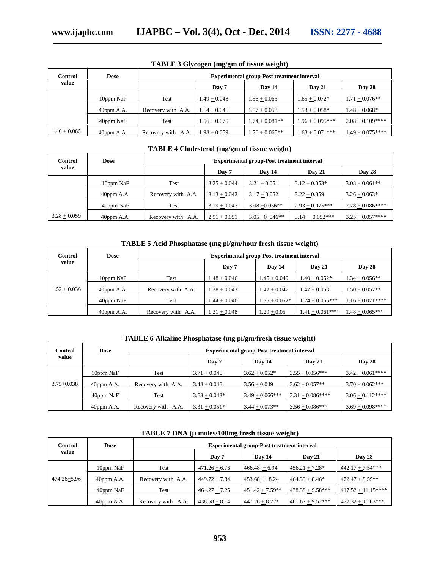| Control        | Dose          | <b>Experimental group-Post treatment interval</b> |                |                  |                   |                     |  |  |
|----------------|---------------|---------------------------------------------------|----------------|------------------|-------------------|---------------------|--|--|
| value          |               |                                                   | Day 7          | Day 14           | <b>Day 21</b>     | <b>Day 28</b>       |  |  |
|                | 10ppm NaF     | Test                                              | $1.49 + 0.048$ | $1.56 + 0.063$   | $1.65 + 0.072*$   | $1.71 + 0.076**$    |  |  |
|                | $40$ ppm A.A. | Recovery with A.A.                                | $1.64 + 0.046$ | $1.57 + 0.053$   | $1.53 + 0.058*$   | $1.48 + 0.068*$     |  |  |
|                | 40ppm NaF     | Test                                              | $1.56 + 0.075$ | $1.74 + 0.081**$ | $1.96 + 0.095***$ | $2.08 + 0.109***$   |  |  |
| $1.46 + 0.065$ | $40$ ppm A.A. | Recovery with A.A.                                | $1.98 + 0.059$ | $1.76 + 0.065**$ | $1.63 + 0.071***$ | $1.49 \pm 0.075***$ |  |  |

**TABLE 3 Glycogen (mg/gm of tissue weight)**

## **TABLE 4 Cholesterol (mg/gm of tissue weight)**

| Control        | <b>Dose</b>   | <b>Experimental group-Post treatment interval</b> |                |                  |                   |                   |  |
|----------------|---------------|---------------------------------------------------|----------------|------------------|-------------------|-------------------|--|
| value          |               | Day 7                                             |                | Day 14           | <b>Day 21</b>     | Day 28            |  |
|                | 10ppm NaF     | Test                                              | $3.25 + 0.044$ | $3.21 + 0.051$   | $3.12 + 0.053*$   | $3.08 + 0.061**$  |  |
|                | $40$ ppm A.A. | Recovery with A.A.                                | $3.13 + 0.042$ | $3.17 + 0.052$   | $3.22 + 0.059$    | $3.26 + 0.063*$   |  |
|                | 40ppm NaF     | Test                                              | $3.19 + 0.047$ | $3.08 + 0.056**$ | $2.93 + 0.075***$ | $2.78 + 0.086***$ |  |
| $3.28 + 0.059$ | $40$ ppm A.A. | Recovery with A.A.                                | $2.91 + 0.051$ | $3.05 + 0.046**$ | $3.14 + 0.052***$ | $3.25 + 0.057***$ |  |

## **TABLE 5 Acid Phosphatase (mg pi/gm/hour fresh tissue weight)**

| Control        | Dose          | <b>Experimental group-Post treatment interval</b> |                |                 |                   |                   |  |  |
|----------------|---------------|---------------------------------------------------|----------------|-----------------|-------------------|-------------------|--|--|
| value          |               |                                                   | Day 7          | Day 14          | <b>Day 21</b>     | Day 28            |  |  |
|                | 10ppm NaF     | Test                                              | $1.48 + 0.046$ | $1.45 + 0.049$  | $1.40 + 0.052*$   | $1.34 + 0.056**$  |  |  |
| $1.52 + 0.036$ | $40$ ppm A.A. | Recovery with A.A.                                | $1.38 + 0.043$ | $1.42 + 0.047$  | $1.47 + 0.053$    | $1.50 + 0.057**$  |  |  |
|                | 40ppm NaF     | Test                                              | $1.44 + 0.046$ | $1.35 + 0.052*$ | $1.24 + 0.065***$ | $1.16 + 0.071***$ |  |  |
|                | $40$ ppm A.A. | Recovery with A.A.                                | $1.21 + 0.048$ | $1.29 + 0.05$   | $1.41 + 0.061***$ | $1.48 + 0.065***$ |  |  |

## **TABLE 6 Alkaline Phosphatase (mg pi/gm/fresh tissue weight)**

| Control<br>value | Dose          | <b>Experimental group-Post treatment interval</b> |                 |                    |                   |                   |  |  |
|------------------|---------------|---------------------------------------------------|-----------------|--------------------|-------------------|-------------------|--|--|
|                  |               |                                                   | Day 7           | Day 14             | <b>Day 21</b>     | <b>Day 28</b>     |  |  |
|                  | 10ppm NaF     | Test                                              | $3.71 + 0.046$  | $3.62 + 0.052*$    | $3.55 + 0.056***$ | $3.42 + 0.061***$ |  |  |
| $3.75 + 0.038$   | $40$ ppm A.A. | Recovery with A.A.                                | $3.48 + 0.046$  | $3.56 + 0.049$     | $3.62 + 0.057**$  | $3.70 + 0.062***$ |  |  |
|                  | 40ppm NaF     | Test                                              | $3.63 + 0.048*$ | $3.49 + 0.066$ *** | $3.31 + 0.086***$ | $3.06 + 0.112***$ |  |  |
|                  | $40$ ppm A.A. | Recovery with A.A.                                | $3.31 + 0.051*$ | $3.44 + 0.073**$   | $3.56 + 0.086***$ | $3.69 + 0.098***$ |  |  |

| Control         | <b>Dose</b>   | <b>Experimental group-Post treatment interval</b> |                 |                   |                     |                       |  |  |
|-----------------|---------------|---------------------------------------------------|-----------------|-------------------|---------------------|-----------------------|--|--|
| value           |               |                                                   | Day 7           | Dav 14            | <b>Day 21</b>       | Day 28                |  |  |
|                 | 10ppm NaF     | Test                                              | $471.26 + 6.76$ | $466.48 + 6.94$   | $456.21 + 7.28*$    | $442.17 + 7.54***$    |  |  |
| $474.26 + 5.96$ | $40$ ppm A.A. | Recovery with A.A.                                | $449.72 + 7.84$ | $453.68 + 8.24$   | $464.39 + 8.46*$    | $472.47 + 8.59**$     |  |  |
|                 | 40ppm NaF     | Test                                              | $464.27 + 7.25$ | $451.42 + 7.59**$ | $438.38 + 9.58$ *** | $417.52 + 11.15***$   |  |  |
|                 | $40$ ppm A.A. | Recovery with A.A.                                | $438.58 + 8.14$ | $447.26 + 8.72*$  | $461.67 + 9.52***$  | 472.32 $\pm$ 10.63*** |  |  |

## **TABLE 7 DNA (µ moles/100mg fresh tissue weight)**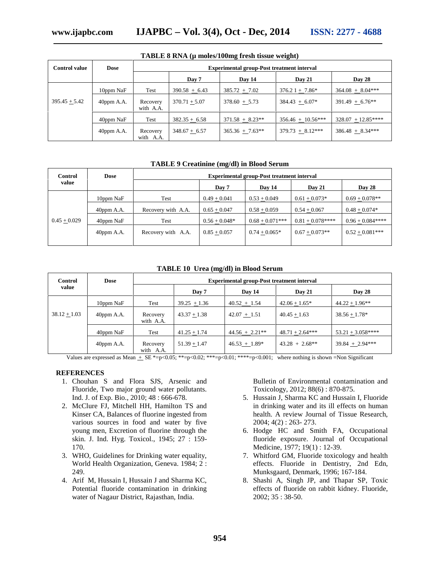| $\frac{1}{1000}$ of $\frac{1}{1000}$ $\frac{1}{1000}$ $\frac{1}{1000}$ $\frac{1}{1000}$ $\frac{1}{1000}$ $\frac{1}{1000}$ |               |                       |                                                   |                   |                     |                     |  |  |
|---------------------------------------------------------------------------------------------------------------------------|---------------|-----------------------|---------------------------------------------------|-------------------|---------------------|---------------------|--|--|
| <b>Control value</b>                                                                                                      | Dose          |                       | <b>Experimental group-Post treatment interval</b> |                   |                     |                     |  |  |
|                                                                                                                           |               |                       | Day 7                                             | Day 14            | Day 21              | <b>Day 28</b>       |  |  |
|                                                                                                                           | 10ppm NaF     | Test                  | $390.58 + 6.43$                                   | $385.72 + 7.02$   | $376.21 + 7.86*$    | $364.08 + 8.04***$  |  |  |
| $395.45 + 5.42$                                                                                                           | $40$ ppm A.A. | Recovery<br>with A.A. | $370.71 + 5.07$                                   | $378.60 + 5.73$   | $384.43 + 6.07*$    | $391.49 + 6.76**$   |  |  |
|                                                                                                                           | 40ppm NaF     | Test                  | $382.35 + 6.58$                                   | $371.58 + 8.23**$ | $356.46 + 10.56***$ | $328.07 + 12.85***$ |  |  |
|                                                                                                                           | $40$ ppm A.A. | Recovery<br>with A.A. | $348.67 + 6.57$                                   | $365.36 + 7.63**$ | $379.73 + 8.12***$  | $386.48 + 8.34***$  |  |  |

## **TABLE 8 RNA (µ moles/100mg fresh tissue weight)**

#### **TABLE 9 Creatinine (mg/dl) in Blood Serum**

| Control        | <b>Dose</b>   | <b>Experimental group-Post treatment interval</b> |                 |                   |                   |                   |  |  |
|----------------|---------------|---------------------------------------------------|-----------------|-------------------|-------------------|-------------------|--|--|
| value          |               |                                                   | Day 7           | Day 14            | Day 21            | <b>Day 28</b>     |  |  |
|                | 10ppm NaF     | Test                                              | $0.49 + 0.041$  | $0.53 + 0.049$    | $0.61 + 0.073*$   | $0.69 + 0.078**$  |  |  |
|                | $40$ ppm A.A. | Recovery with A.A.                                | $0.65 + 0.047$  | $0.58 + 0.059$    | $0.54 + 0.067$    | $0.48 + 0.074*$   |  |  |
| $0.45 + 0.029$ | 40ppm NaF     | Test                                              | $0.56 + 0.048*$ | $0.68 + 0.071***$ | $0.81 + 0.078***$ | $0.96 + 0.084***$ |  |  |
|                | $40$ ppm A.A. | Recovery with A.A.                                | $0.85 + 0.057$  | $0.74 + 0.065*$   | $0.67 + 0.073**$  | $0.52 + 0.081***$ |  |  |
|                |               |                                                   |                 |                   |                   |                   |  |  |

#### **TABLE 10 Urea (mg/dl) in Blood Serum**

| Control        | <b>Dose</b>   | <b>Experimental group-Post treatment interval</b> |                |                  |                   |                    |  |
|----------------|---------------|---------------------------------------------------|----------------|------------------|-------------------|--------------------|--|
| value          |               |                                                   | Day 7          | Day 14           | <b>Day 21</b>     | <b>Day 28</b>      |  |
|                | 10ppm NaF     | Test                                              | $39.25 + 1.36$ | $40.52 + 1.54$   | $42.06 + 1.65*$   | $44.22 + 1.96**$   |  |
| $38.12 + 1.03$ | $40$ ppm A.A. | Recovery<br>with A.A.                             | $43.37 + 1.38$ | $42.07 + 1.51$   | $40.45 + 1.63$    | $38.56 + 1.78*$    |  |
|                | 40ppm NaF     | Test                                              | $41.25 + 1.74$ | $44.56 + 2.21**$ | $48.71 + 2.64***$ | $53.21 + 3.058***$ |  |
|                | $40$ ppm A.A. | Recovery<br>with A.A.                             | $51.39 + 1.47$ | $46.53 + 1.89*$  | $43.28 + 2.68**$  | $39.84 + 2.94***$  |  |

Values are expressed as Mean  $\pm$  SE \*=p<0.05; \*\*=p<0.02; \*\*\*=p<0.01; \*\*\*=p<0.001; where nothing is shown =Non Significant

#### **REFERENCES**

- 1. Chouhan S and Flora SJS, Arsenic and Fluoride, Two major ground water pollutants. Ind. J. of Exp. Bio., 2010; 48 : 666-678.
- 2. McClure FJ, Mitchell HH, Hamilton TS and Kinser CA, Balances of fluorine ingested from various sources in food and water by five young men, Excretion of fluorine through the skin. J. Ind. Hyg. Toxicol., 1945; 27 : 159- 170.
- 3. WHO, Guidelines for Drinking water equality, World Health Organization, Geneva. 1984; 2 : 249.
- 4. Arif M, Hussain I, Hussain J and Sharma KC, Potential fluoride contamination in drinking water of Nagaur District, Rajasthan, India.

Bulletin of Environmental contamination and Toxicology, 2012; 88(6) : 870-875.

- 5. Hussain J, Sharma KC and Hussain I, Fluoride in drinking water and its ill effects on human health. A review Journal of Tissue Research, 2004; 4(2) : 263- 273.
- 6. Hodge HC and Smith FA, Occupational fluoride exposure. Journal of Occupational Medicine, 1977; 19(1) : 12-39.
- 7. Whitford GM, Fluoride toxicology and health effects. Fluoride in Dentistry, 2nd Edn, Munksgaard, Denmark, 1996; 167-184.
- 8. Shashi A, Singh JP, and Thapar SP, Toxic effects of fluoride on rabbit kidney. Fluoride, 2002; 35 : 38-50.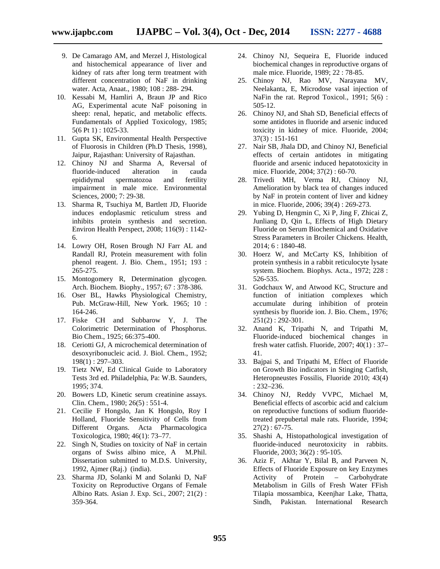- 9. De Camarago AM, and Merzel J, Histological and histochemical appearance of liver and kidney of rats after long term treatment with different concentration of NaF in drinking water. Acta, Anaat., 1980; 108 : 288- 294.
- 10. Kessabi M, Hamliri A, Braun JP and Rico AG, Experimental acute NaF poisoning in sheep: renal, hepatic, and metabolic effects. Fundamentals of Applied Toxicology, 1985; 5(6 Pt 1) : 1025-33.
- 11. Gupta SK, Environmental Health Perspective of Fluorosis in Children (Ph.D Thesis, 1998), Jaipur, Rajasthan: University of Rajasthan.
- 12. Chinoy NJ and Sharma A, Reversal of fluoride-induced alteration in cauda epididymal spermatozoa and fertility impairment in male mice. Environmental Sciences, 2000; 7: 29-38.
- 13. Sharma R, Tsuchiya M, Bartlett JD, Fluoride induces endoplasmic reticulum stress and inhibits protein synthesis and secretion. Environ Health Perspect, 2008; 116(9) : 1142- 6.
- 14. Lowry OH, Rosen Brough NJ Farr AL and Randall RJ, Protein measurement with folin phenol reagent. J. Bio. Chem., 1951; 193 : 265-275.
- 15. Montogomery R, Determination glycogen. Arch. Biochem. Biophy., 1957; 67 : 378-386.
- 16. Oser BL, Hawks Physiological Chemistry, Pub. McGraw-Hill, New York. 1965; 10 : 164-246.
- 17. Fiske CH and Subbarow Y, J. The Colorimetric Determination of Phosphorus. Bio Chem., 1925; 66:375-400.
- 18. Ceriotti GJ, A microchemical determination of desoxyribonucleic acid. J. Biol. Chem., 1952; 198(1) : 297–303.
- 19. Tietz NW, Ed Clinical Guide to Laboratory Tests 3rd ed. Philadelphia, Pa: W.B. Saunders, 1995; 374.
- 20. Bowers LD, Kinetic serum creatinine assays. Clin. Chem., 1980; 26(5) : 551-4.
- 21. Cecilie F Hongslo, Jan K Hongslo, Roy I Holland, Fluoride Sensitivity of Cells from Different Organs. Acta Pharmacologica Toxicologica, 1980; 46(1): 73–77.
- 22. Singh N, Studies on toxicity of NaF in certain organs of Swiss albino mice, A M.Phil. Dissertation submitted to M.D.S. University, 1992, Ajmer (Raj.) (india).
- 23. Sharma JD, Solanki M and Solanki D, NaF Toxicity on Reproductive Organs of Female Albino Rats. Asian J. Exp. Sci., 2007; 21(2) : 359-364.
- 24. Chinoy NJ, Sequeira E, Fluoride induced biochemical changes in reproductive organs of male mice. Fluoride, 1989; 22 : 78-85.
- 25. Chinoy NJ, Rao MV, Narayana MV, Neelakanta, E, Microdose vasal injection of NaFin the rat. Reprod Toxicol., 1991; 5(6): 505-12.
- 26. Chinoy NJ, and Shah SD, Beneficial effects of some antidotes in fluoride and arsenic induced toxicity in kidney of mice. Fluoride, 2004; 37(3) : 151-161
- 27. Nair SB, Jhala DD, and Chinoy NJ, Beneficial effects of certain antidotes in mitigating fluoride and arsenic induced hepatotoxicity in mice. Fluoride, 2004; 37(2) : 60-70.
- 28. Trivedi MH, Verma RJ, Chinoy NJ, Amelioration by black tea of changes induced by NaF in protein content of liver and kidney in mice. Fluoride, 2006; 39(4) : 269-273.
- 29. Yubing D, Hengmin C, Xi P, Jing F, Zhicai Z, Junliang D, Qin L, Effects of High Dietary Fluoride on Serum Biochemical and Oxidative Stress Parameters in Broiler Chickens. Health, 2014; 6 : 1840-48.
- 30. Hoerz W, and McCarty KS, Inhibition of protein synthesis in a rabbit reticulocyte lysate system. Biochem. Biophys. Acta., 1972; 228 : 526-535.
- 31. Godchaux W, and Atwood KC, Structure and function of initiation complexes which accumulate during inhibition of protein synthesis by fluoride ion. J. Bio. Chem., 1976; 251(2) : 292-301.
- 32. Anand K, Tripathi N, and Tripathi M, Fluoride-induced biochemical changes in fresh water catfish. Fluoride, 2007; 40(1) : 37– 41.
- 33. Bajpai S, and Tripathi M, Effect of Fluoride on Growth Bio indicators in Stinging Catfish, Heteropneustes Fossilis, Fluoride 2010; 43(4) : 232–236.
- 34. Chinoy NJ, Reddy VVPC, Michael M, Beneficial effects of ascorbic acid and calcium on reproductive functions of sodium fluoridetreated prepubertal male rats. Fluoride, 1994;  $27(2): 67-75.$
- 35. Shashi A, Histopathological investigation of fluoride-induced neurotoxicity in rabbits. Fluoride, 2003; 36(2) : 95-105.
- 36. Aziz F, Akhtar Y, Bilal B, and Parveen N, Effects of Fluoride Exposure on key Enzymes Activity of Protein – Carbohydrate Metabolism in Gills of Fresh Water FFish Tilapia mossambica, Keenjhar Lake, Thatta, Sindh, Pakistan. International Research